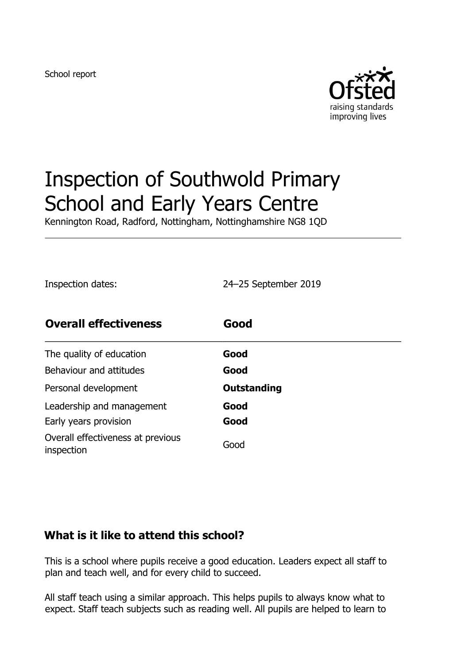School report



# Inspection of Southwold Primary School and Early Years Centre

Kennington Road, Radford, Nottingham, Nottinghamshire NG8 1QD

Inspection dates: 24–25 September 2019

| <b>Overall effectiveness</b>                    | Good        |
|-------------------------------------------------|-------------|
| The quality of education                        | Good        |
| Behaviour and attitudes                         | Good        |
| Personal development                            | Outstanding |
| Leadership and management                       | Good        |
| Early years provision                           | Good        |
| Overall effectiveness at previous<br>inspection | Good        |

#### **What is it like to attend this school?**

This is a school where pupils receive a good education. Leaders expect all staff to plan and teach well, and for every child to succeed.

All staff teach using a similar approach. This helps pupils to always know what to expect. Staff teach subjects such as reading well. All pupils are helped to learn to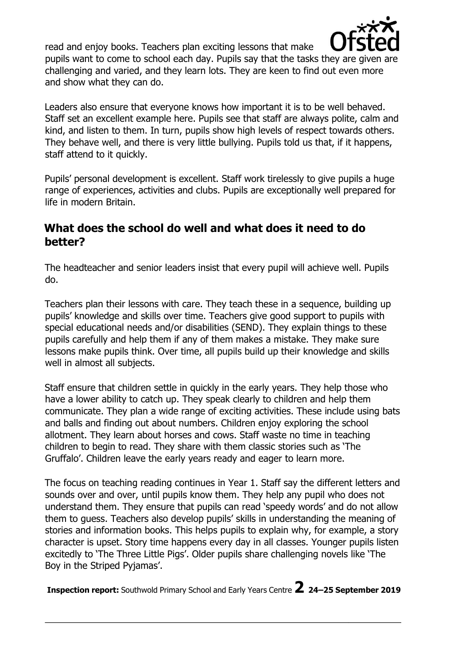

read and enjoy books. Teachers plan exciting lessons that make pupils want to come to school each day. Pupils say that the tasks they are given are challenging and varied, and they learn lots. They are keen to find out even more and show what they can do.

Leaders also ensure that everyone knows how important it is to be well behaved. Staff set an excellent example here. Pupils see that staff are always polite, calm and kind, and listen to them. In turn, pupils show high levels of respect towards others. They behave well, and there is very little bullying. Pupils told us that, if it happens, staff attend to it quickly.

Pupils' personal development is excellent. Staff work tirelessly to give pupils a huge range of experiences, activities and clubs. Pupils are exceptionally well prepared for life in modern Britain.

### **What does the school do well and what does it need to do better?**

The headteacher and senior leaders insist that every pupil will achieve well. Pupils do.

Teachers plan their lessons with care. They teach these in a sequence, building up pupils' knowledge and skills over time. Teachers give good support to pupils with special educational needs and/or disabilities (SEND). They explain things to these pupils carefully and help them if any of them makes a mistake. They make sure lessons make pupils think. Over time, all pupils build up their knowledge and skills well in almost all subjects.

Staff ensure that children settle in quickly in the early years. They help those who have a lower ability to catch up. They speak clearly to children and help them communicate. They plan a wide range of exciting activities. These include using bats and balls and finding out about numbers. Children enjoy exploring the school allotment. They learn about horses and cows. Staff waste no time in teaching children to begin to read. They share with them classic stories such as 'The Gruffalo'. Children leave the early years ready and eager to learn more.

The focus on teaching reading continues in Year 1. Staff say the different letters and sounds over and over, until pupils know them. They help any pupil who does not understand them. They ensure that pupils can read 'speedy words' and do not allow them to guess. Teachers also develop pupils' skills in understanding the meaning of stories and information books. This helps pupils to explain why, for example, a story character is upset. Story time happens every day in all classes. Younger pupils listen excitedly to 'The Three Little Pigs'. Older pupils share challenging novels like 'The Boy in the Striped Pyjamas'.

**Inspection report:** Southwold Primary School and Early Years Centre **2 <sup>24</sup>–25 September 2019**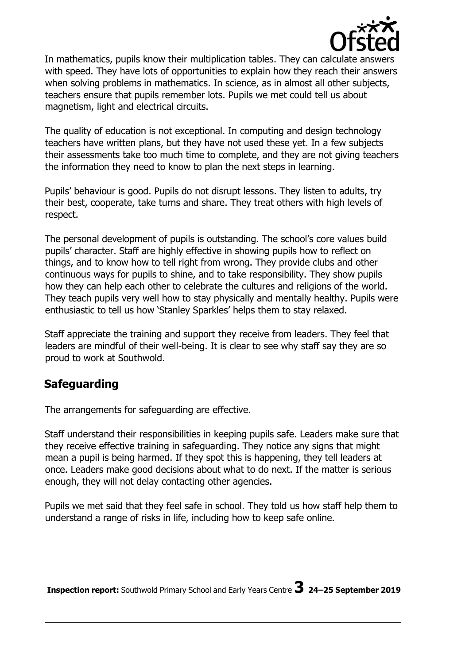

In mathematics, pupils know their multiplication tables. They can calculate answers with speed. They have lots of opportunities to explain how they reach their answers when solving problems in mathematics. In science, as in almost all other subjects, teachers ensure that pupils remember lots. Pupils we met could tell us about magnetism, light and electrical circuits.

The quality of education is not exceptional. In computing and design technology teachers have written plans, but they have not used these yet. In a few subjects their assessments take too much time to complete, and they are not giving teachers the information they need to know to plan the next steps in learning.

Pupils' behaviour is good. Pupils do not disrupt lessons. They listen to adults, try their best, cooperate, take turns and share. They treat others with high levels of respect.

The personal development of pupils is outstanding. The school's core values build pupils' character. Staff are highly effective in showing pupils how to reflect on things, and to know how to tell right from wrong. They provide clubs and other continuous ways for pupils to shine, and to take responsibility. They show pupils how they can help each other to celebrate the cultures and religions of the world. They teach pupils very well how to stay physically and mentally healthy. Pupils were enthusiastic to tell us how 'Stanley Sparkles' helps them to stay relaxed.

Staff appreciate the training and support they receive from leaders. They feel that leaders are mindful of their well-being. It is clear to see why staff say they are so proud to work at Southwold.

# **Safeguarding**

The arrangements for safeguarding are effective.

Staff understand their responsibilities in keeping pupils safe. Leaders make sure that they receive effective training in safeguarding. They notice any signs that might mean a pupil is being harmed. If they spot this is happening, they tell leaders at once. Leaders make good decisions about what to do next. If the matter is serious enough, they will not delay contacting other agencies.

Pupils we met said that they feel safe in school. They told us how staff help them to understand a range of risks in life, including how to keep safe online.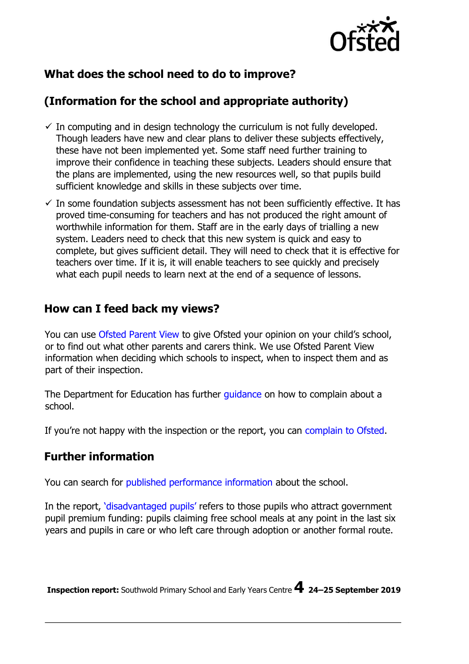

# **What does the school need to do to improve?**

# **(Information for the school and appropriate authority)**

- $\checkmark$  In computing and in design technology the curriculum is not fully developed. Though leaders have new and clear plans to deliver these subjects effectively, these have not been implemented yet. Some staff need further training to improve their confidence in teaching these subjects. Leaders should ensure that the plans are implemented, using the new resources well, so that pupils build sufficient knowledge and skills in these subjects over time.
- $\checkmark$  In some foundation subjects assessment has not been sufficiently effective. It has proved time-consuming for teachers and has not produced the right amount of worthwhile information for them. Staff are in the early days of trialling a new system. Leaders need to check that this new system is quick and easy to complete, but gives sufficient detail. They will need to check that it is effective for teachers over time. If it is, it will enable teachers to see quickly and precisely what each pupil needs to learn next at the end of a sequence of lessons.

#### **How can I feed back my views?**

You can use [Ofsted Parent View](http://parentview.ofsted.gov.uk/) to give Ofsted your opinion on your child's school, or to find out what other parents and carers think. We use Ofsted Parent View information when deciding which schools to inspect, when to inspect them and as part of their inspection.

The Department for Education has further quidance on how to complain about a school.

If you're not happy with the inspection or the report, you can [complain to Ofsted.](http://www.gov.uk/complain-ofsted-report)

# **Further information**

You can search for [published performance information](http://www.compare-school-performance.service.gov.uk/) [a](http://www.compare-school-performance.service.gov.uk/)bout the school.

Inthe report, '[disadvantaged pupils](http://www.gov.uk/guidance/pupil-premium-information-for-schools-and-alternative-provision-settings)['](http://www.gov.uk/guidance/pupil-premium-information-for-schools-and-alternative-provision-settings) [r](http://www.gov.uk/guidance/pupil-premium-information-for-schools-and-alternative-provision-settings)efers to those pupils who attract government pupil premium funding: pupils claiming free school meals at any point in the last six years and pupils in care or who left care through adoption or another formal route.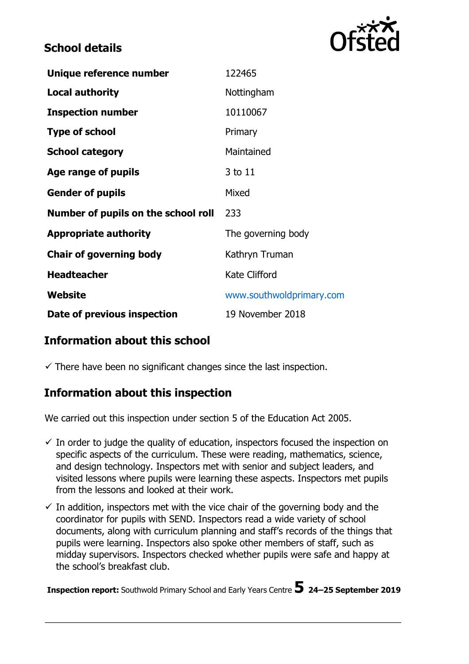# **School details**



| Unique reference number             | 122465                   |
|-------------------------------------|--------------------------|
| <b>Local authority</b>              | Nottingham               |
| <b>Inspection number</b>            | 10110067                 |
| <b>Type of school</b>               | Primary                  |
| <b>School category</b>              | Maintained               |
| Age range of pupils                 | 3 to 11                  |
| <b>Gender of pupils</b>             | Mixed                    |
| Number of pupils on the school roll | 233                      |
| <b>Appropriate authority</b>        | The governing body       |
| <b>Chair of governing body</b>      | Kathryn Truman           |
| <b>Headteacher</b>                  | <b>Kate Clifford</b>     |
| Website                             | www.southwoldprimary.com |
| Date of previous inspection         | 19 November 2018         |

#### **Information about this school**

 $\checkmark$  There have been no significant changes since the last inspection.

#### **Information about this inspection**

We carried out this inspection under section 5 of the Education Act 2005.

- $\checkmark$  In order to judge the quality of education, inspectors focused the inspection on specific aspects of the curriculum. These were reading, mathematics, science, and design technology. Inspectors met with senior and subject leaders, and visited lessons where pupils were learning these aspects. Inspectors met pupils from the lessons and looked at their work.
- $\checkmark$  In addition, inspectors met with the vice chair of the governing body and the coordinator for pupils with SEND. Inspectors read a wide variety of school documents, along with curriculum planning and staff's records of the things that pupils were learning. Inspectors also spoke other members of staff, such as midday supervisors. Inspectors checked whether pupils were safe and happy at the school's breakfast club.

**Inspection report:** Southwold Primary School and Early Years Centre **5 <sup>24</sup>–25 September 2019**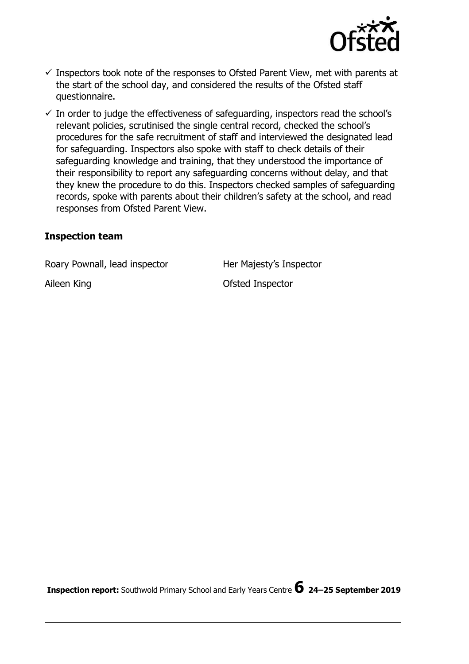

- $\checkmark$  Inspectors took note of the responses to Ofsted Parent View, met with parents at the start of the school day, and considered the results of the Ofsted staff questionnaire.
- $\checkmark$  In order to judge the effectiveness of safeguarding, inspectors read the school's relevant policies, scrutinised the single central record, checked the school's procedures for the safe recruitment of staff and interviewed the designated lead for safeguarding. Inspectors also spoke with staff to check details of their safeguarding knowledge and training, that they understood the importance of their responsibility to report any safeguarding concerns without delay, and that they knew the procedure to do this. Inspectors checked samples of safeguarding records, spoke with parents about their children's safety at the school, and read responses from Ofsted Parent View.

#### **Inspection team**

Roary Pownall, lead inspector **Her Majesty's Inspector** 

Aileen King **Construction Construction Construction Construction Construction Construction Construction Construction**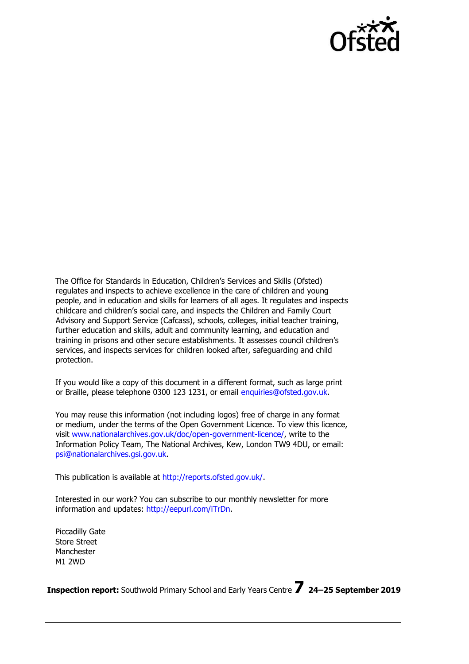

The Office for Standards in Education, Children's Services and Skills (Ofsted) regulates and inspects to achieve excellence in the care of children and young people, and in education and skills for learners of all ages. It regulates and inspects childcare and children's social care, and inspects the Children and Family Court Advisory and Support Service (Cafcass), schools, colleges, initial teacher training, further education and skills, adult and community learning, and education and training in prisons and other secure establishments. It assesses council children's services, and inspects services for children looked after, safeguarding and child protection.

If you would like a copy of this document in a different format, such as large print or Braille, please telephone 0300 123 1231, or email enquiries@ofsted.gov.uk.

You may reuse this information (not including logos) free of charge in any format or medium, under the terms of the Open Government Licence. To view this licence, visit [www.nationalarchives.gov.uk/doc/open-government-licence/,](http://www.nationalarchives.gov.uk/doc/open-government-licence/) write to the Information Policy Team, The National Archives, Kew, London TW9 4DU, or email: psi@nationalarchives.gsi.gov.uk.

This publication is available at [http://reports.ofsted.gov.uk/.](http://reports.ofsted.gov.uk/)

Interested in our work? You can subscribe to our monthly newsletter for more information and updates: [http://eepurl.com/iTrDn.](http://eepurl.com/iTrDn)

Piccadilly Gate Store Street Manchester M1 2WD

**Inspection report:** Southwold Primary School and Early Years Centre **7 <sup>24</sup>–25 September 2019**